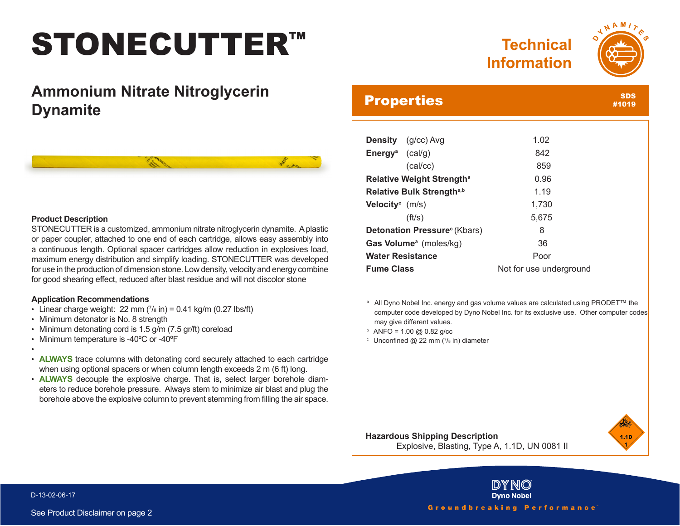# STONECUTTER™

## **Technical Information**



**SDS** #1019

## **Ammonium Nitrate Nitroglycerin Dynamite**



#### **Product Description**

STONECUTTER is a customized, ammonium nitrate nitroglycerin dynamite. A plastic or paper coupler, attached to one end of each cartridge, allows easy assembly into a continuous length. Optional spacer cartridges allow reduction in explosives load, maximum energy distribution and simplify loading. STONECUTTER was developed for use in the production of dimension stone. Low density, velocity and energy combine for good shearing effect, reduced after blast residue and will not discolor stone

### **Application Recommendations**

- Linear charge weight:  $22 \text{ mm}$   $(7)_8$  in) = 0.41 kg/m (0.27 lbs/ft)
- Minimum detonator is No. 8 strength
- Minimum detonating cord is 1.5 g/m (7.5 gr/ft) coreload
- Minimum temperature is -40ºC or -40ºF
- • **ALWAYS** trace columns with detonating cord securely attached to each cartridge when using optional spacers or when column length exceeds 2 m (6 ft) long.
- **ALWAYS** decouple the explosive charge. That is, select larger borehole diameters to reduce borehole pressure. Always stem to minimize air blast and plug the borehole above the explosive column to prevent stemming from filling the air space.

### **Properties**

| <b>Density</b> (g/cc) Avg                | 1.02  |
|------------------------------------------|-------|
| <b>Energy</b> <sup>a</sup> (cal/g)       | 842   |
| (cal/cc)                                 | 859   |
| Relative Weight Strength <sup>a</sup>    | 0.96  |
| Relative Bulk Strength <sup>a,b</sup>    | 1.19  |
| <b>Velocity</b> $(m/s)$                  | 1,730 |
| (ft/s)                                   | 5,675 |
| Detonation Pressure <sup>c</sup> (Kbars) | 8     |
| Gas Volume <sup>a</sup> (moles/kg)       | 36    |
|                                          |       |

**Water Resistance Poor Fume Class** Not for use underground

<sup>a</sup> All Dyno Nobel Inc. energy and gas volume values are calculated using PRODET™ the computer code developed by Dyno Nobel Inc. for its exclusive use. Other computer codes may give different values.

- $b$  ANFO = 1.00 @ 0.82 g/cc
- $c$  Unconfined @ 22 mm ( $7/s$  in) diameter



**Hazardous Shipping Description** Explosive, Blasting, Type A, 1.1D, UN 0081 II



#### D-13-02-06-17

See Product Disclaimer on page 2

Groundbreaking Performance